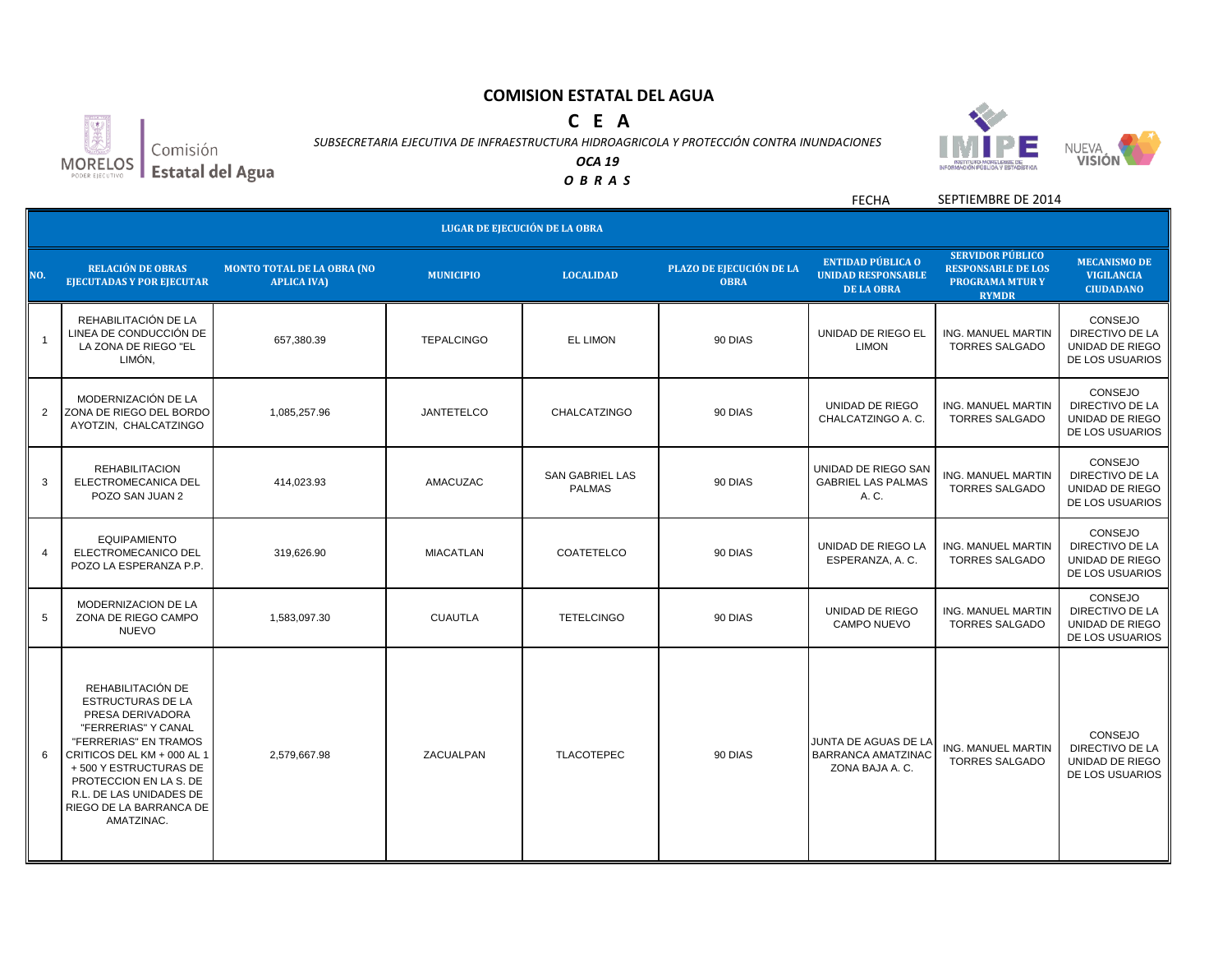# **C E A**

an Comisión  $MORELOS$ Estatal del Agua

*SUBSECRETARIA EJECUTIVA DE INFRAESTRUCTURA HIDROAGRICOLA Y PROTECCIÓN CONTRA INUNDACIONES*



*OCA 19*

*O B R A S*

FECHA SEPTIEMBRE DE 2014

|                          | LUGAR DE EJECUCIÓN DE LA OBRA                                                                                                                                                                                                                                          |                                                         |                   |                                         |                                         |                                                                            |                                                                                               |                                                                         |  |
|--------------------------|------------------------------------------------------------------------------------------------------------------------------------------------------------------------------------------------------------------------------------------------------------------------|---------------------------------------------------------|-------------------|-----------------------------------------|-----------------------------------------|----------------------------------------------------------------------------|-----------------------------------------------------------------------------------------------|-------------------------------------------------------------------------|--|
| NO.                      | <b>RELACIÓN DE OBRAS</b><br><b>EJECUTADAS Y POR EJECUTAR</b>                                                                                                                                                                                                           | <b>MONTO TOTAL DE LA OBRA (NO</b><br><b>APLICA IVA)</b> | <b>MUNICIPIO</b>  | <b>LOCALIDAD</b>                        | PLAZO DE EJECUCIÓN DE LA<br><b>OBRA</b> | <b>ENTIDAD PÚBLICA O</b><br><b>UNIDAD RESPONSABLE</b><br><b>DE LA OBRA</b> | <b>SERVIDOR PÚBLICO</b><br><b>RESPONSABLE DE LOS</b><br><b>PROGRAMA MTURY</b><br><b>RYMDR</b> | <b>MECANISMO DE</b><br><b>VIGILANCIA</b><br><b>CIUDADANO</b>            |  |
| $\overline{\phantom{0}}$ | REHABILITACIÓN DE LA<br>LINEA DE CONDUCCIÓN DE<br>LA ZONA DE RIEGO "EL<br>LIMÓN,                                                                                                                                                                                       | 657,380.39                                              | <b>TEPALCINGO</b> | <b>EL LIMON</b>                         | 90 DIAS                                 | UNIDAD DE RIEGO EL<br><b>LIMON</b>                                         | <b>ING. MANUEL MARTIN</b><br><b>TORRES SALGADO</b>                                            | CONSEJO<br>DIRECTIVO DE LA<br><b>UNIDAD DE RIEGO</b><br>DE LOS USUARIOS |  |
| $\overline{2}$           | MODERNIZACIÓN DE LA<br>ZONA DE RIEGO DEL BORDO<br>AYOTZIN, CHALCATZINGO                                                                                                                                                                                                | 1,085,257.96                                            | <b>JANTETELCO</b> | CHALCATZINGO                            | 90 DIAS                                 | UNIDAD DE RIEGO<br>CHALCATZINGO A.C.                                       | ING. MANUEL MARTIN<br><b>TORRES SALGADO</b>                                                   | CONSEJO<br><b>DIRECTIVO DE LA</b><br>UNIDAD DE RIEGO<br>DE LOS USUARIOS |  |
| 3                        | <b>REHABILITACION</b><br>ELECTROMECANICA DEL<br>POZO SAN JUAN 2                                                                                                                                                                                                        | 414,023.93                                              | AMACUZAC          | <b>SAN GABRIEL LAS</b><br><b>PALMAS</b> | 90 DIAS                                 | UNIDAD DE RIEGO SAN<br><b>GABRIEL LAS PALMAS</b><br>A. C.                  | <b>ING. MANUEL MARTIN</b><br><b>TORRES SALGADO</b>                                            | CONSEJO<br>DIRECTIVO DE LA<br>UNIDAD DE RIEGO<br>DE LOS USUARIOS        |  |
| 4                        | <b>EQUIPAMIENTO</b><br>ELECTROMECANICO DEL<br>POZO LA ESPERANZA P.P.                                                                                                                                                                                                   | 319.626.90                                              | <b>MIACATLAN</b>  | <b>COATETELCO</b>                       | 90 DIAS                                 | UNIDAD DE RIEGO LA<br>ESPERANZA, A. C.                                     | <b>ING. MANUEL MARTIN</b><br><b>TORRES SALGADO</b>                                            | CONSEJO<br>DIRECTIVO DE LA<br>UNIDAD DE RIEGO<br>DE LOS USUARIOS        |  |
| 5                        | MODERNIZACION DE LA<br>ZONA DE RIEGO CAMPO<br><b>NUEVO</b>                                                                                                                                                                                                             | 1,583,097.30                                            | <b>CUAUTLA</b>    | <b>TETELCINGO</b>                       | 90 DIAS                                 | UNIDAD DE RIEGO<br><b>CAMPO NUEVO</b>                                      | ING. MANUEL MARTIN<br><b>TORRES SALGADO</b>                                                   | CONSEJO<br>DIRECTIVO DE LA<br>UNIDAD DE RIEGO<br>DE LOS USUARIOS        |  |
| 6                        | REHABILITACIÓN DE<br><b>ESTRUCTURAS DE LA</b><br>PRESA DERIVADORA<br>"FERRERIAS" Y CANAL<br>"FERRERIAS" EN TRAMOS<br>CRITICOS DEL KM + 000 AL 1<br>+500 Y ESTRUCTURAS DE<br>PROTECCION EN LA S. DE<br>R.L. DE LAS UNIDADES DE<br>RIEGO DE LA BARRANCA DE<br>AMATZINAC. | 2,579,667.98                                            | ZACUALPAN         | <b>TLACOTEPEC</b>                       | 90 DIAS                                 | JUNTA DE AGUAS DE LA<br><b>BARRANCA AMATZINAC</b><br>ZONA BAJA A. C.       | <b>ING. MANUEL MARTIN</b><br><b>TORRES SALGADO</b>                                            | CONSEJO<br>DIRECTIVO DE LA<br>UNIDAD DE RIEGO<br>DE LOS USUARIOS        |  |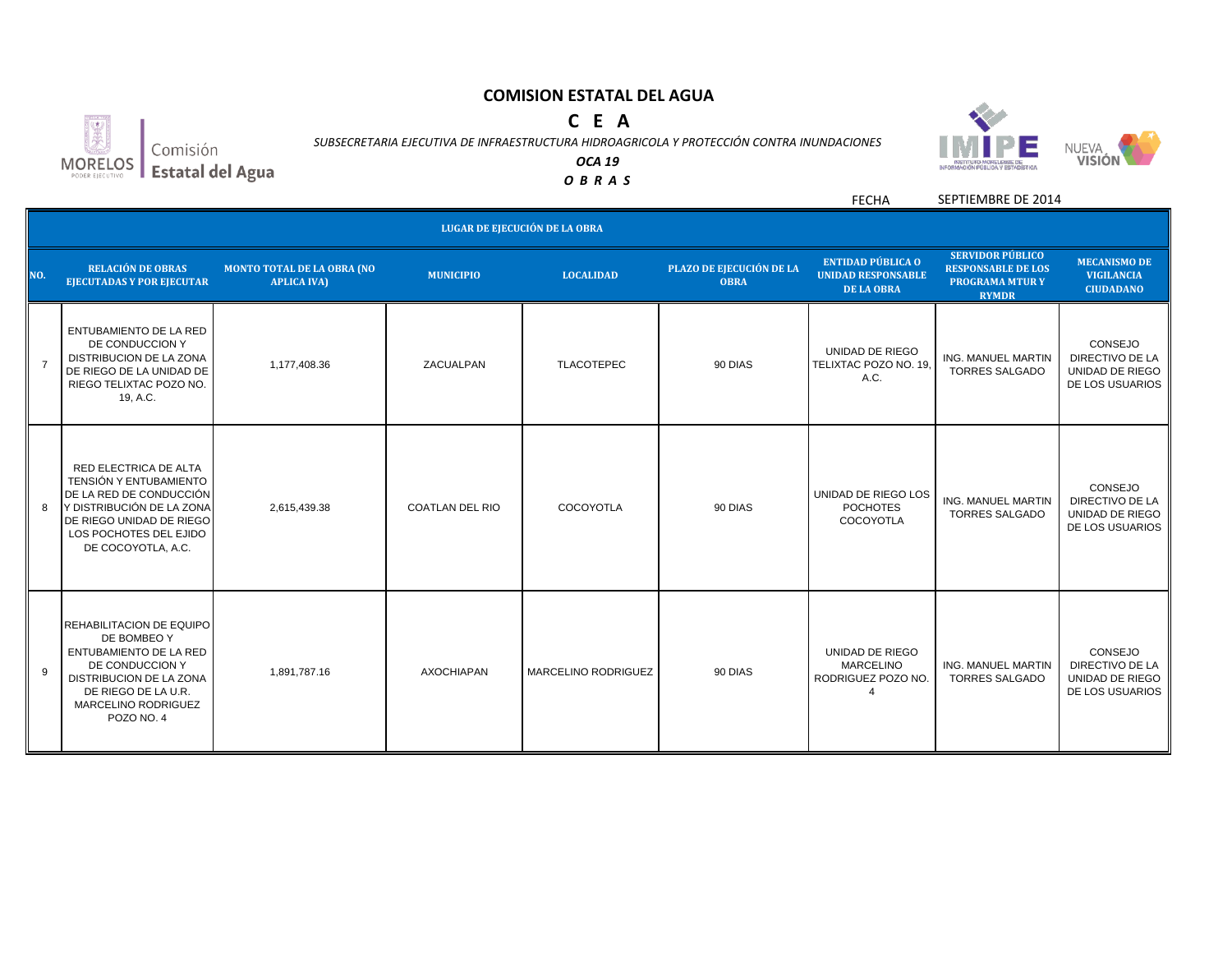# **C E A**



*SUBSECRETARIA EJECUTIVA DE INFRAESTRUCTURA HIDROAGRICOLA Y PROTECCIÓN CONTRA INUNDACIONES*



*OCA 19 O B R A S*

> FECHA SEPTIEMBRE DE 2014

|                | <b>LUGAR DE EJECUCIÓN DE LA OBRA</b>                                                                                                                                                       |                                                         |                        |                            |                                         |                                                                            |                                                                                               |                                                                  |  |
|----------------|--------------------------------------------------------------------------------------------------------------------------------------------------------------------------------------------|---------------------------------------------------------|------------------------|----------------------------|-----------------------------------------|----------------------------------------------------------------------------|-----------------------------------------------------------------------------------------------|------------------------------------------------------------------|--|
| NO.            | <b>RELACIÓN DE OBRAS</b><br><b>EJECUTADAS Y POR EJECUTAR</b>                                                                                                                               | <b>MONTO TOTAL DE LA OBRA (NO</b><br><b>APLICA IVA)</b> | <b>MUNICIPIO</b>       | <b>LOCALIDAD</b>           | PLAZO DE EJECUCIÓN DE LA<br><b>OBRA</b> | <b>ENTIDAD PÚBLICA O</b><br><b>UNIDAD RESPONSABLE</b><br><b>DE LA OBRA</b> | <b>SERVIDOR PÚBLICO</b><br><b>RESPONSABLE DE LOS</b><br><b>PROGRAMA MTURY</b><br><b>RYMDR</b> | <b>MECANISMO DE</b><br><b>VIGILANCIA</b><br><b>CIUDADANO</b>     |  |
| $\overline{7}$ | <b>ENTUBAMIENTO DE LA RED</b><br>DE CONDUCCION Y<br>DISTRIBUCION DE LA ZONA<br>DE RIEGO DE LA UNIDAD DE<br>RIEGO TELIXTAC POZO NO.<br>19, A.C.                                             | 1.177.408.36                                            | ZACUALPAN              | <b>TLACOTEPEC</b>          | 90 DIAS                                 | UNIDAD DE RIEGO<br>TELIXTAC POZO NO. 19,<br>A.C.                           | <b>ING. MANUEL MARTIN</b><br><b>TORRES SALGADO</b>                                            | CONSEJO<br>DIRECTIVO DE LA<br>UNIDAD DE RIEGO<br>DE LOS USUARIOS |  |
| 8              | RED ELECTRICA DE ALTA<br><b>TENSIÓN Y ENTUBAMIENTO</b><br>DE LA RED DE CONDUCCIÓN<br>Y DISTRIBUCIÓN DE LA ZONA<br>DE RIEGO UNIDAD DE RIEGO<br>LOS POCHOTES DEL EJIDO<br>DE COCOYOTLA, A.C. | 2,615,439.38                                            | <b>COATLAN DEL RIO</b> | COCOYOTLA                  | 90 DIAS                                 | UNIDAD DE RIEGO LOS<br><b>POCHOTES</b><br>COCOYOTLA                        | <b>ING. MANUEL MARTIN</b><br><b>TORRES SALGADO</b>                                            | CONSEJO<br>DIRECTIVO DE LA<br>UNIDAD DE RIEGO<br>DE LOS USUARIOS |  |
| 9              | <b>REHABILITACION DE EQUIPO</b><br>DE BOMBEO Y<br><b>ENTUBAMIENTO DE LA RED</b><br>DE CONDUCCION Y<br>DISTRIBUCION DE LA ZONA<br>DE RIEGO DE LA U.R.<br>MARCELINO RODRIGUEZ<br>POZO NO. 4  | 1,891,787.16                                            | <b>AXOCHIAPAN</b>      | <b>MARCELINO RODRIGUEZ</b> | 90 DIAS                                 | UNIDAD DE RIEGO<br><b>MARCELINO</b><br>RODRIGUEZ POZO NO.                  | <b>ING. MANUEL MARTIN</b><br><b>TORRES SALGADO</b>                                            | CONSEJO<br>DIRECTIVO DE LA<br>UNIDAD DE RIEGO<br>DE LOS USUARIOS |  |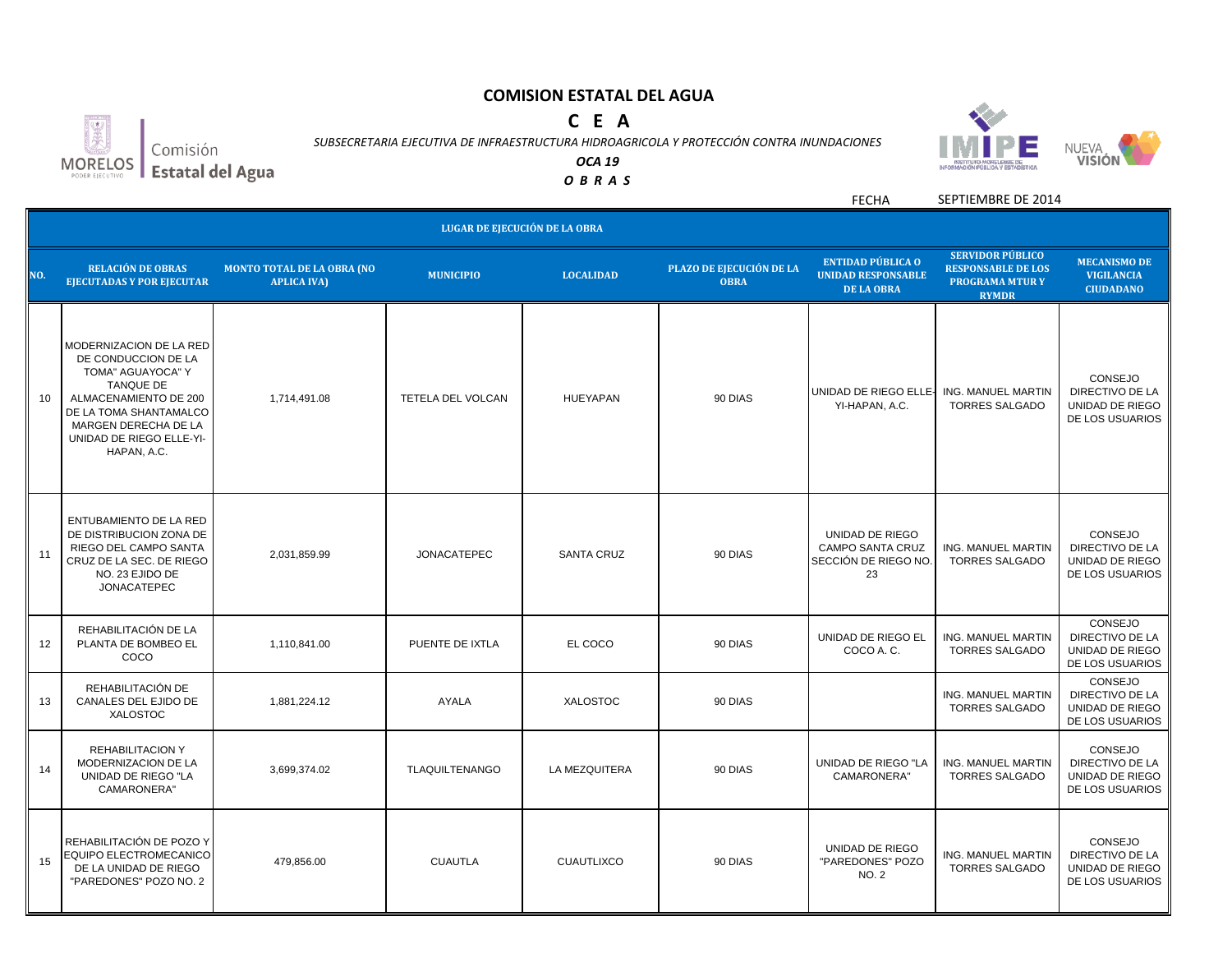# **C E A**



*SUBSECRETARIA EJECUTIVA DE INFRAESTRUCTURA HIDROAGRICOLA Y PROTECCIÓN CONTRA INUNDACIONES OCA 19*



*O B R A S*





Estatal del Agua

FECHA SEPTIEMBRE DE 2014

|     | LUGAR DE EJECUCIÓN DE LA OBRA                                                                                                                                                                                 |                                                         |                          |                   |                                         |                                                                            |                                                                                               |                                                                         |  |
|-----|---------------------------------------------------------------------------------------------------------------------------------------------------------------------------------------------------------------|---------------------------------------------------------|--------------------------|-------------------|-----------------------------------------|----------------------------------------------------------------------------|-----------------------------------------------------------------------------------------------|-------------------------------------------------------------------------|--|
| NO. | <b>RELACIÓN DE OBRAS</b><br><b>EJECUTADAS Y POR EJECUTAR</b>                                                                                                                                                  | <b>MONTO TOTAL DE LA OBRA (NO</b><br><b>APLICA IVA)</b> | <b>MUNICIPIO</b>         | <b>LOCALIDAD</b>  | PLAZO DE EJECUCIÓN DE LA<br><b>OBRA</b> | <b>ENTIDAD PÚBLICA O</b><br><b>UNIDAD RESPONSABLE</b><br><b>DE LA OBRA</b> | <b>SERVIDOR PÚBLICO</b><br><b>RESPONSABLE DE LOS</b><br><b>PROGRAMA MTURY</b><br><b>RYMDR</b> | <b>MECANISMO DE</b><br><b>VIGILANCIA</b><br><b>CIUDADANO</b>            |  |
| 10  | MODERNIZACION DE LA RED<br>DE CONDUCCION DE LA<br>TOMA" AGUAYOCA" Y<br><b>TANQUE DE</b><br>ALMACENAMIENTO DE 200<br>DE LA TOMA SHANTAMALCO<br>MARGEN DERECHA DE LA<br>UNIDAD DE RIEGO ELLE-YI-<br>HAPAN, A.C. | 1,714,491.08                                            | <b>TETELA DEL VOLCAN</b> | <b>HUEYAPAN</b>   | 90 DIAS                                 | UNIDAD DE RIEGO ELLE-<br>YI-HAPAN, A.C.                                    | <b>ING. MANUEL MARTIN</b><br><b>TORRES SALGADO</b>                                            | CONSEJO<br>DIRECTIVO DE LA<br>UNIDAD DE RIEGO<br>DE LOS USUARIOS        |  |
| 11  | <b>ENTUBAMIENTO DE LA RED</b><br>DE DISTRIBUCION ZONA DE<br>RIEGO DEL CAMPO SANTA<br>CRUZ DE LA SEC. DE RIEGO<br>NO. 23 EJIDO DE<br><b>JONACATEPEC</b>                                                        | 2,031,859.99                                            | <b>JONACATEPEC</b>       | <b>SANTA CRUZ</b> | 90 DIAS                                 | UNIDAD DE RIEGO<br><b>CAMPO SANTA CRUZ</b><br>SECCIÓN DE RIEGO NO.<br>23   | <b>ING. MANUEL MARTIN</b><br><b>TORRES SALGADO</b>                                            | CONSEJO<br>DIRECTIVO DE LA<br>UNIDAD DE RIEGO<br>DE LOS USUARIOS        |  |
| 12  | REHABILITACIÓN DE LA<br>PLANTA DE BOMBEO EL<br>COCO                                                                                                                                                           | 1,110,841.00                                            | PUENTE DE IXTLA          | EL COCO           | 90 DIAS                                 | UNIDAD DE RIEGO EL<br>COCO A.C.                                            | ING. MANUEL MARTIN<br><b>TORRES SALGADO</b>                                                   | CONSEJO<br>DIRECTIVO DE LA<br>UNIDAD DE RIEGO<br>DE LOS USUARIOS        |  |
| 13  | REHABILITACIÓN DE<br>CANALES DEL EJIDO DE<br><b>XALOSTOC</b>                                                                                                                                                  | 1,881,224.12                                            | <b>AYALA</b>             | <b>XALOSTOC</b>   | 90 DIAS                                 |                                                                            | ING. MANUEL MARTIN<br><b>TORRES SALGADO</b>                                                   | CONSEJO<br>DIRECTIVO DE LA<br>UNIDAD DE RIEGO<br>DE LOS USUARIOS        |  |
| 14  | <b>REHABILITACION Y</b><br>MODERNIZACION DE LA<br>UNIDAD DE RIEGO "LA<br>CAMARONERA"                                                                                                                          | 3,699,374.02                                            | <b>TLAQUILTENANGO</b>    | LA MEZQUITERA     | 90 DIAS                                 | UNIDAD DE RIEGO "LA<br>CAMARONERA"                                         | ING. MANUEL MARTIN<br><b>TORRES SALGADO</b>                                                   | CONSEJO<br>DIRECTIVO DE LA<br>UNIDAD DE RIEGO<br>DE LOS USUARIOS        |  |
| 15  | REHABILITACIÓN DE POZO Y<br>EQUIPO ELECTROMECANICO<br>DE LA UNIDAD DE RIEGO<br>"PAREDONES" POZO NO. 2                                                                                                         | 479,856.00                                              | <b>CUAUTLA</b>           | <b>CUAUTLIXCO</b> | 90 DIAS                                 | UNIDAD DE RIEGO<br>"PAREDONES" POZO<br>NO. 2                               | <b>ING. MANUEL MARTIN</b><br><b>TORRES SALGADO</b>                                            | <b>CONSEJO</b><br>DIRECTIVO DE LA<br>UNIDAD DE RIEGO<br>DE LOS USUARIOS |  |